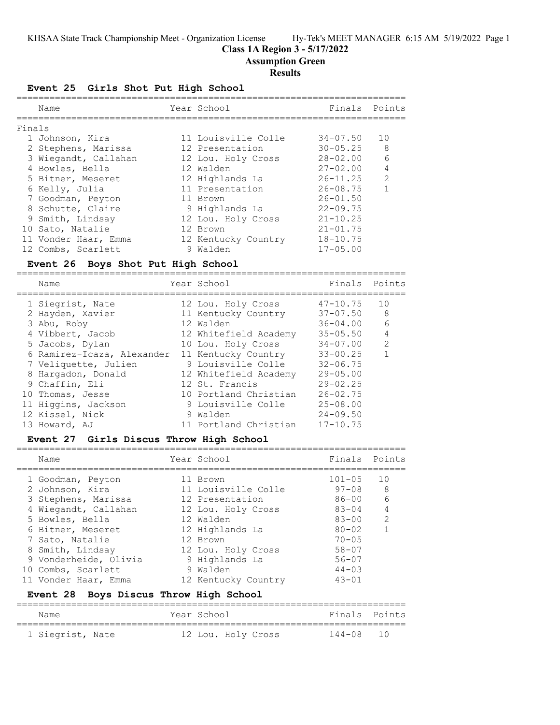KHSAA State Track Championship Meet - Organization License Hy-Tek's MEET MANAGER 6:15 AM 5/19/2022 Page 1

# **Class 1A Region 3 - 5/17/2022**

=======================================================================

**Assumption Green**

## **Results**

**Event 25 Girls Shot Put High School**

|        | Name                 | Year School         | Finals Points |                |
|--------|----------------------|---------------------|---------------|----------------|
| Finals |                      |                     |               |                |
|        | 1 Johnson, Kira      | 11 Louisville Colle | $34 - 07.50$  | 10             |
|        | 2 Stephens, Marissa  | 12 Presentation     | $30 - 05.25$  | 8              |
|        | 3 Wiegandt, Callahan | 12 Lou. Holy Cross  | $28 - 02.00$  | 6              |
|        | 4 Bowles, Bella      | 12 Walden           | $27 - 02.00$  | $\overline{4}$ |
|        | 5 Bitner, Meseret    | 12 Highlands La     | $26 - 11.25$  | $\mathcal{L}$  |
|        | 6 Kelly, Julia       | 11 Presentation     | $26 - 08.75$  | $\mathbf{1}$   |
|        | 7 Goodman, Peyton    | 11 Brown            | $26 - 01.50$  |                |
|        | 8 Schutte, Claire    | 9 Highlands La      | $22 - 09.75$  |                |
|        | 9 Smith, Lindsay     | 12 Lou. Holy Cross  | $21 - 10.25$  |                |
|        | 10 Sato, Natalie     | 12 Brown            | $21 - 01.75$  |                |
|        | 11 Vonder Haar, Emma | 12 Kentucky Country | $18 - 10.75$  |                |
|        | 12 Combs, Scarlett   | 9 Walden            | $17 - 05.00$  |                |

# **Event 26 Boys Shot Put High School**

| Name                       | Year School           | Finals Points |               |
|----------------------------|-----------------------|---------------|---------------|
| 1 Siegrist, Nate           | 12 Lou. Holy Cross    | $47 - 10.75$  | 10            |
| 2 Hayden, Xavier           | 11 Kentucky Country   | $37 - 07.50$  | 8             |
| 3 Abu, Roby                | 12 Walden             | $36 - 04.00$  | 6             |
| 4 Vibbert, Jacob           | 12 Whitefield Academy | $35 - 05.50$  | 4             |
| 5 Jacobs, Dylan            | 10 Lou. Holy Cross    | $34 - 07.00$  | $\mathcal{L}$ |
| 6 Ramirez-Icaza, Alexander | 11 Kentucky Country   | $33 - 00.25$  |               |
| 7 Veliquette, Julien       | 9 Louisville Colle    | $32 - 06.75$  |               |
| 8 Hargadon, Donald         | 12 Whitefield Academy | $29 - 05.00$  |               |
| 9 Chaffin, Eli             | 12 St. Francis        | $29 - 02.25$  |               |
| 10 Thomas, Jesse           | 10 Portland Christian | $26 - 02.75$  |               |
| 11 Higgins, Jackson        | 9 Louisville Colle    | $25 - 08.00$  |               |
| 12 Kissel, Nick            | 9 Walden              | $24 - 09.50$  |               |
| 13 Howard, AJ              | 11 Portland Christian | $17 - 10.75$  |               |

## **Event 27 Girls Discus Throw High School**

|  | Name                  | Year School         | Finals Points |                |
|--|-----------------------|---------------------|---------------|----------------|
|  | 1 Goodman, Peyton     | 11 Brown            | $101 - 05$    | 10             |
|  | 2 Johnson, Kira       | 11 Louisville Colle | 97-08         | 8              |
|  | 3 Stephens, Marissa   | 12 Presentation     | 86-00         | 6              |
|  | 4 Wiegandt, Callahan  | 12 Lou. Holy Cross  | $83 - 04$     | $\overline{4}$ |
|  | 5 Bowles, Bella       | 12 Walden           | $83 - 00$     | $\mathcal{L}$  |
|  | 6 Bitner, Meseret     | 12 Highlands La     | $80 - 02$     |                |
|  | 7 Sato, Natalie       | 12 Brown            | $70 - 0.5$    |                |
|  | 8 Smith, Lindsay      | 12 Lou. Holy Cross  | $58 - 07$     |                |
|  | 9 Vonderheide, Olivia | 9 Highlands La      | $56 - 07$     |                |
|  | 10 Combs, Scarlett    | 9 Walden            | $44 - 0.3$    |                |
|  | 11 Vonder Haar, Emma  | 12 Kentucky Country | $43 - 01$     |                |
|  |                       |                     |               |                |

# **Event 28 Boys Discus Throw High School**

| Name             |  | Year School |                    | Finals Points |  |
|------------------|--|-------------|--------------------|---------------|--|
| 1 Siegrist, Nate |  |             | 12 Lou. Holy Cross | 144-08 10     |  |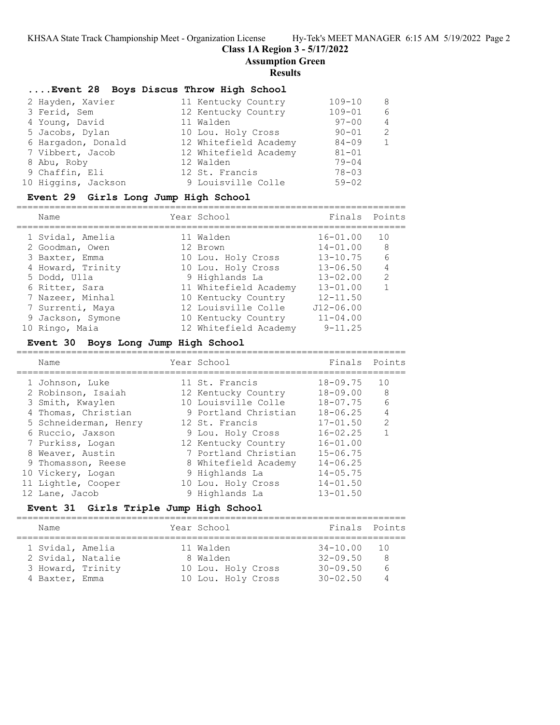KHSAA State Track Championship Meet - Organization License Hy-Tek's MEET MANAGER 6:15 AM 5/19/2022 Page 2

## **Class 1A Region 3 - 5/17/2022**

**Assumption Green**

#### **Results**

## **....Event 28 Boys Discus Throw High School**

| 2 Hayden, Xavier    | 11 Kentucky Country   | $109 - 10$ | -8             |
|---------------------|-----------------------|------------|----------------|
| 3 Ferid, Sem        | 12 Kentucky Country   | $109 - 01$ | 6              |
| 4 Young, David      | 11 Walden             | $97 - 00$  | $\overline{4}$ |
| 5 Jacobs, Dylan     | 10 Lou. Holy Cross    | $90 - 01$  | 2              |
| 6 Hargadon, Donald  | 12 Whitefield Academy | $84 - 09$  | $\mathbf{1}$   |
| 7 Vibbert, Jacob    | 12 Whitefield Academy | $81 - 01$  |                |
| 8 Abu, Roby         | 12 Walden             | $79 - 04$  |                |
| 9 Chaffin, Eli      | 12 St. Francis        | $78 - 03$  |                |
| 10 Higgins, Jackson | 9 Louisville Colle    | $59 - 02$  |                |

#### **Event 29 Girls Long Jump High School**

=======================================================================

| Name              |  | Finals Points                                                                                                                                                                                                             |                |
|-------------------|--|---------------------------------------------------------------------------------------------------------------------------------------------------------------------------------------------------------------------------|----------------|
| 1 Svidal, Amelia  |  | $16 - 01.00$                                                                                                                                                                                                              | 10             |
| 2 Goodman, Owen   |  | $14 - 01.00$                                                                                                                                                                                                              | 8              |
| 3 Baxter, Emma    |  | $13 - 10.75$                                                                                                                                                                                                              | 6              |
| 4 Howard, Trinity |  | $13 - 06.50$                                                                                                                                                                                                              | $\overline{4}$ |
| 5 Dodd, Ulla      |  | $13 - 02.00$                                                                                                                                                                                                              | $\mathcal{L}$  |
| 6 Ritter, Sara    |  | $13 - 01.00$                                                                                                                                                                                                              |                |
| 7 Nazeer, Minhal  |  | $12 - 11.50$                                                                                                                                                                                                              |                |
| 7 Surrenti, Maya  |  | $J12 - 06.00$                                                                                                                                                                                                             |                |
| 9 Jackson, Symone |  | $11 - 04.00$                                                                                                                                                                                                              |                |
| 10 Ringo, Maia    |  | $9 - 11.25$                                                                                                                                                                                                               |                |
|                   |  | Year School<br>11 Walden<br>12 Brown<br>10 Lou. Holy Cross<br>10 Lou. Holy Cross<br>9 Highlands La<br>11 Whitefield Academy<br>10 Kentucky Country<br>12 Louisville Colle<br>10 Kentucky Country<br>12 Whitefield Academy |                |

# **Event 30 Boys Long Jump High School**

| Name |                                                                                                                                                                                                                                                          | Finals Points                                                                                                                                                                                                                                                               |                 |
|------|----------------------------------------------------------------------------------------------------------------------------------------------------------------------------------------------------------------------------------------------------------|-----------------------------------------------------------------------------------------------------------------------------------------------------------------------------------------------------------------------------------------------------------------------------|-----------------|
|      |                                                                                                                                                                                                                                                          | $18 - 09.75$                                                                                                                                                                                                                                                                | 10              |
|      |                                                                                                                                                                                                                                                          | $18 - 09.00$                                                                                                                                                                                                                                                                | -8              |
|      |                                                                                                                                                                                                                                                          | $18 - 07.75$                                                                                                                                                                                                                                                                | $6\overline{6}$ |
|      |                                                                                                                                                                                                                                                          | $18 - 06.25$                                                                                                                                                                                                                                                                | $\overline{4}$  |
|      |                                                                                                                                                                                                                                                          | $17 - 01.50$                                                                                                                                                                                                                                                                | $\mathcal{L}$   |
|      |                                                                                                                                                                                                                                                          | $16 - 02.25$                                                                                                                                                                                                                                                                |                 |
|      |                                                                                                                                                                                                                                                          | $16 - 01.00$                                                                                                                                                                                                                                                                |                 |
|      |                                                                                                                                                                                                                                                          | $15 - 06.75$                                                                                                                                                                                                                                                                |                 |
|      |                                                                                                                                                                                                                                                          | $14 - 06.25$                                                                                                                                                                                                                                                                |                 |
|      |                                                                                                                                                                                                                                                          | $14 - 05.75$                                                                                                                                                                                                                                                                |                 |
|      |                                                                                                                                                                                                                                                          | $14 - 01.50$                                                                                                                                                                                                                                                                |                 |
|      |                                                                                                                                                                                                                                                          | $13 - 01.50$                                                                                                                                                                                                                                                                |                 |
|      | 1 Johnson, Luke<br>2 Robinson, Isaiah<br>3 Smith, Kwaylen<br>4 Thomas, Christian<br>5 Schneiderman, Henry<br>6 Ruccio, Jaxson<br>7 Purkiss, Logan<br>8 Weaver, Austin<br>9 Thomasson, Reese<br>10 Vickery, Logan<br>11 Lightle, Cooper<br>12 Lane, Jacob | Year School<br>11 St. Francis<br>12 Kentucky Country<br>10 Louisville Colle<br>9 Portland Christian<br>12 St. Francis<br>9 Lou. Holy Cross<br>12 Kentucky Country<br>7 Portland Christian<br>8 Whitefield Academy<br>9 Highlands La<br>10 Lou. Holy Cross<br>9 Highlands La |                 |

## **Event 31 Girls Triple Jump High School**

=======================================================================

| Name                                  |  | Year School           | Finals Points            |                      |
|---------------------------------------|--|-----------------------|--------------------------|----------------------|
| 1 Svidal, Amelia<br>2 Svidal, Natalie |  | 11 Walden<br>8 Walden | 34-10.00<br>$32 - 09.50$ | $\overline{10}$<br>8 |
| 3 Howard, Trinity                     |  | 10 Lou. Holy Cross    | $30 - 09.50$             | 6                    |
| 4 Baxter, Emma                        |  | 10 Lou. Holy Cross    | $30 - 02.50$             | $\Delta$             |